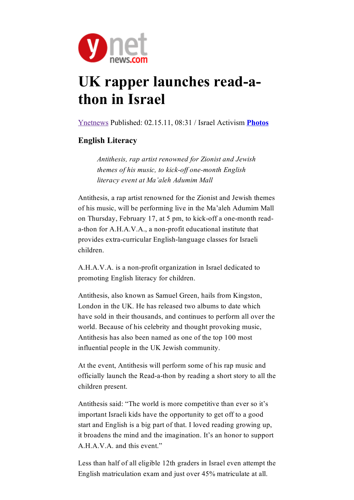

## UK rapper launches read-athon in Israel

[Ynetnews](http://gaimor.freehostia.com/ynet-15-feb-11.htm) Published: 02.15.11, 08:31 / Israel Activism [Photos](http://www.jr.co.il/ma/pic/2011/ma553.htm)

## English Literacy

Antithesis, rap artist renowned for Zionist and Jewish themes of his music, to kick-off one-month English literacy event at Ma'aleh Adumim Mall

Antithesis, a rap artist renowned for the Zionist and Jewish themes of his music, will be performing live in the Ma'aleh Adumim Mall on Thursday, February 17, at 5 pm, to kick-off a one-month reada-thon for A.H.A.V.A., a non-profit educational institute that provides extra-curricular English-language classes for Israeli children.

A.H.A.V.A. is a non-profit organization in Israel dedicated to promoting English literacy for children.

Antithesis, also known as Samuel Green, hails from Kingston, London in the UK. He has released two albums to date which have sold in their thousands, and continues to perform all over the world. Because of his celebrity and thought provoking music, Antithesis has also been named as one of the top 100 most influential people in the UK Jewish community.

At the event, Antithesis will perform some of his rap music and officially launch the Read-a-thon by reading a short story to all the children present.

Antithesis said: "The world is more competitive than ever so it's important Israeli kids have the opportunity to get off to a good start and English is a big part of that. I loved reading growing up, it broadens the mind and the imagination. It's an honor to support A.H.A.V.A. and this event."

Less than half of all eligible 12th graders in Israel even attempt the English matriculation exam and just over 45% matriculate at all.